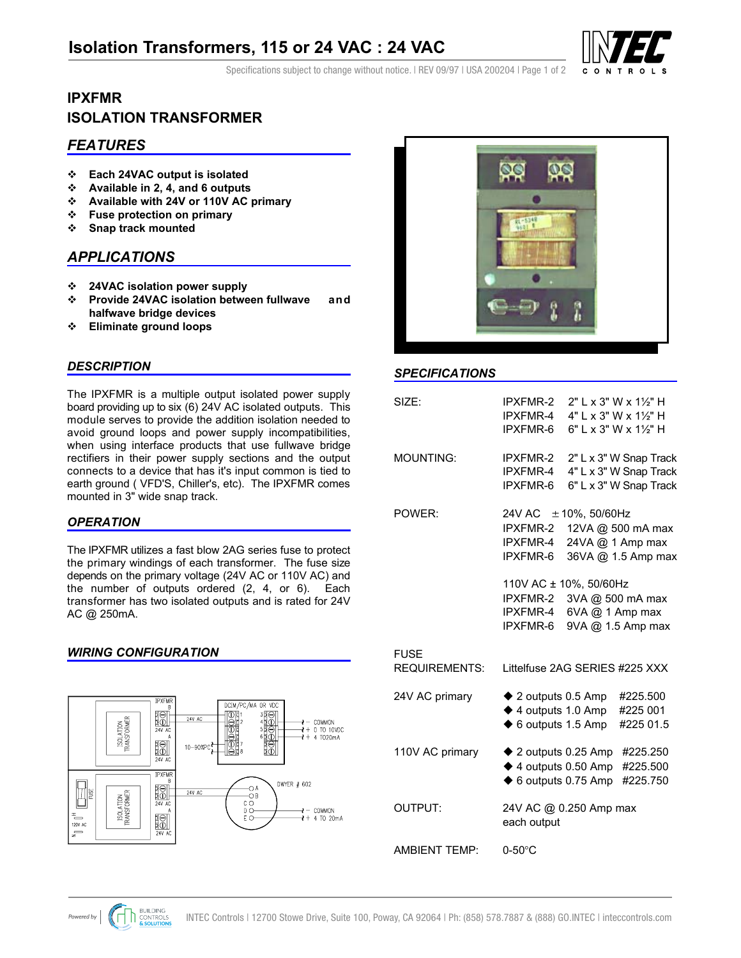# **Isolation Transformers, 115 or 24 VAC : 24 VAC**



Specifications subject to change without notice. I REV 09/97 I USA 200204 I Page 1 of 2

# **ISOLATION TRANSFORMER IPXFMR**

# *FEATURES*

- **Each 24VAC output is isolated**
- **Available in 2, 4, and 6 outputs**
- **Available with 24V or 110V AC primary**
- **Fuse protection on primary**
- **Snap track mounted**

# *APPLICATIONS*

- **24VAC isolation power supply**
- **Provide 24VAC isolation between fullwave and halfwave bridge devices**
- **Eliminate ground loops**

### *DESCRIPTION*

The IPXFMR is a multiple output isolated power supply board providing up to six (6) 24V AC isolated outputs. This module serves to provide the addition isolation needed to avoid ground loops and power supply incompatibilities, when using interface products that use fullwave bridge rectifiers in their power supply sections and the output connects to a device that has it's input common is tied to earth ground ( VFD'S, Chiller's, etc). The IPXFMR comes mounted in 3" wide snap track.

### *OPERATION*

The IPXFMR utilizes a fast blow 2AG series fuse to protect the primary windings of each transformer. The fuse size depends on the primary voltage (24V AC or 110V AC) and the number of outputs ordered (2, 4, or 6). Each transformer has two isolated outputs and is rated for 24V AC @ 250mA.

### *WIRING CONFIGURATION*





### *SPECIFICATIONS*

| SIZE:                               | <b>IPXFMR-2</b><br>IPXFMR-4<br><b>IPXFMR-6</b>                                                                  | 2" L x 3" W x 11/2" H<br>4" L x 3" W x 11/2" H<br>6" L x 3" W x 11/2" H                                                          |
|-------------------------------------|-----------------------------------------------------------------------------------------------------------------|----------------------------------------------------------------------------------------------------------------------------------|
| <b>MOUNTING:</b>                    | <b>IPXFMR-2</b><br>IPXFMR-4<br>IPXFMR-6                                                                         | 2" L x 3" W Snap Track<br>4" L x 3" W Snap Track<br>6" L x 3" W Snap Track                                                       |
| POWER:                              | 24V AC $\pm$ 10%, 50/60Hz<br>IPXFMR-4<br>IPXFMR-6<br>110V AC ± 10%, 50/60Hz<br>IPXFMR-2<br>IPXFMR-4<br>IPXFMR-6 | IPXFMR-2 12VA @ 500 mA max<br>24VA @ 1 Amp max<br>36VA @ 1.5 Amp max<br>3VA @ 500 mA max<br>6VA @ 1 Amp max<br>9VA @ 1.5 Amp max |
| <b>FUSE</b><br><b>REQUIREMENTS:</b> | Littelfuse 2AG SERIES #225 XXX                                                                                  |                                                                                                                                  |
| 24V AC primary                      | $\blacklozenge$ 2 outputs 0.5 Amp<br>$\blacklozenge$ 4 outputs 1.0 Amp<br>$\blacklozenge$ 6 outputs 1.5 Amp     | #225.500<br>#225 001<br>#225 01.5                                                                                                |
| 110V AC primary                     | $\triangle$ 2 outputs 0.25 Amp<br>$\blacklozenge$ 4 outputs 0.50 Amp<br>$\blacklozenge$ 6 outputs 0.75 Amp      | #225.250<br>#225.500<br>#225.750                                                                                                 |
| OUTPUT:                             | 24V AC @ 0.250 Amp max<br>each output                                                                           |                                                                                                                                  |
| <b>AMBIENT TEMP:</b>                | $0-50$ °C                                                                                                       |                                                                                                                                  |